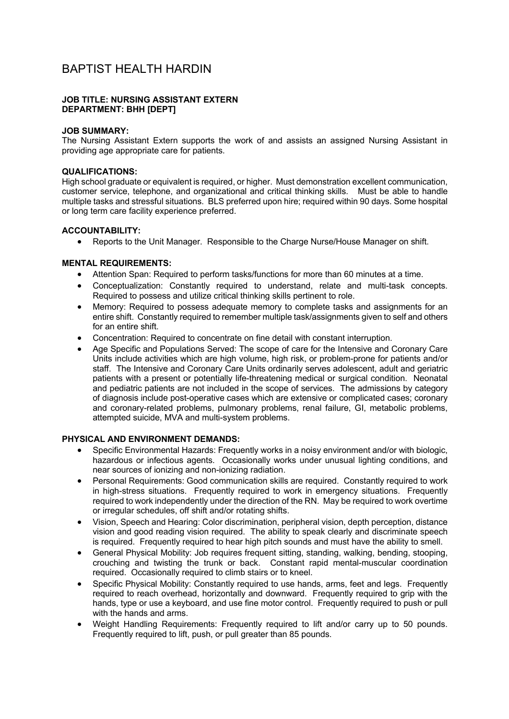# BAPTIST HEALTH HARDIN

### **JOB TITLE: NURSING ASSISTANT EXTERN DEPARTMENT: BHH [DEPT]**

#### **JOB SUMMARY:**

The Nursing Assistant Extern supports the work of and assists an assigned Nursing Assistant in providing age appropriate care for patients.

### **QUALIFICATIONS:**

High school graduate or equivalent is required, or higher. Must demonstration excellent communication, customer service, telephone, and organizational and critical thinking skills. Must be able to handle multiple tasks and stressful situations. BLS preferred upon hire; required within 90 days. Some hospital or long term care facility experience preferred.

## **ACCOUNTABILITY:**

• Reports to the Unit Manager. Responsible to the Charge Nurse/House Manager on shift.

# **MENTAL REQUIREMENTS:**

- Attention Span: Required to perform tasks/functions for more than 60 minutes at a time.
- Conceptualization: Constantly required to understand, relate and multi-task concepts. Required to possess and utilize critical thinking skills pertinent to role.
- Memory: Required to possess adequate memory to complete tasks and assignments for an entire shift. Constantly required to remember multiple task/assignments given to self and others for an entire shift.
- Concentration: Required to concentrate on fine detail with constant interruption.
- Age Specific and Populations Served: The scope of care for the Intensive and Coronary Care Units include activities which are high volume, high risk, or problem-prone for patients and/or staff. The Intensive and Coronary Care Units ordinarily serves adolescent, adult and geriatric patients with a present or potentially life-threatening medical or surgical condition. Neonatal and pediatric patients are not included in the scope of services. The admissions by category of diagnosis include post-operative cases which are extensive or complicated cases; coronary and coronary-related problems, pulmonary problems, renal failure, GI, metabolic problems, attempted suicide, MVA and multi-system problems.

# **PHYSICAL AND ENVIRONMENT DEMANDS:**

- Specific Environmental Hazards: Frequently works in a noisy environment and/or with biologic, hazardous or infectious agents. Occasionally works under unusual lighting conditions, and near sources of ionizing and non-ionizing radiation.
- Personal Requirements: Good communication skills are required. Constantly required to work in high-stress situations. Frequently required to work in emergency situations. Frequently required to work independently under the direction of the RN. May be required to work overtime or irregular schedules, off shift and/or rotating shifts.
- Vision, Speech and Hearing: Color discrimination, peripheral vision, depth perception, distance vision and good reading vision required. The ability to speak clearly and discriminate speech is required. Frequently required to hear high pitch sounds and must have the ability to smell.
- General Physical Mobility: Job requires frequent sitting, standing, walking, bending, stooping, crouching and twisting the trunk or back. Constant rapid mental-muscular coordination required. Occasionally required to climb stairs or to kneel.
- Specific Physical Mobility: Constantly required to use hands, arms, feet and legs. Frequently required to reach overhead, horizontally and downward. Frequently required to grip with the hands, type or use a keyboard, and use fine motor control. Frequently required to push or pull with the hands and arms.
- Weight Handling Requirements: Frequently required to lift and/or carry up to 50 pounds. Frequently required to lift, push, or pull greater than 85 pounds.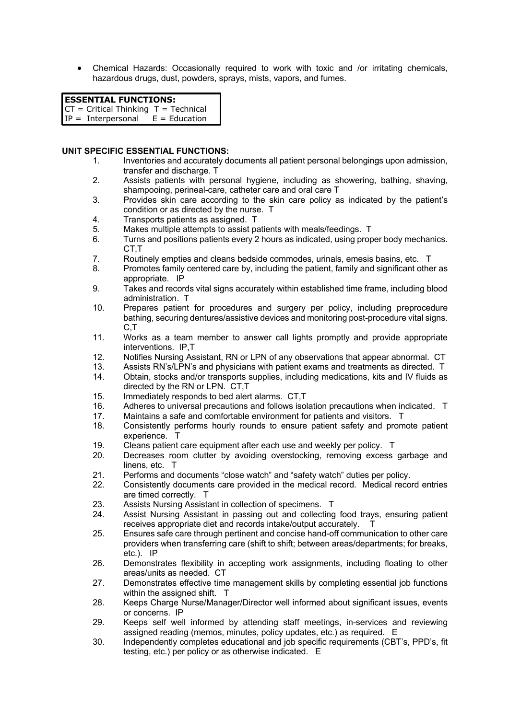• Chemical Hazards: Occasionally required to work with toxic and /or irritating chemicals, hazardous drugs, dust, powders, sprays, mists, vapors, and fumes.

# **ESSENTIAL FUNCTIONS:**

 $CT = Critical Thinking T = Technical$ 

 $IP = Interpersonal \tE = Education$ 

#### **UNIT SPECIFIC ESSENTIAL FUNCTIONS:**

- 1. Inventories and accurately documents all patient personal belongings upon admission, transfer and discharge. T
- 2. Assists patients with personal hygiene, including as showering, bathing, shaving, shampooing, perineal-care, catheter care and oral care T
- 3. Provides skin care according to the skin care policy as indicated by the patient's condition or as directed by the nurse. T
- 4. Transports patients as assigned. T
- 5. Makes multiple attempts to assist patients with meals/feedings. T
- 6. Turns and positions patients every 2 hours as indicated, using proper body mechanics. CT,T
- 7. Routinely empties and cleans bedside commodes, urinals, emesis basins, etc. T
- 8. Promotes family centered care by, including the patient, family and significant other as appropriate. IP
- 9. Takes and records vital signs accurately within established time frame, including blood administration. T
- 10. Prepares patient for procedures and surgery per policy, including preprocedure bathing, securing dentures/assistive devices and monitoring post-procedure vital signs. C,T
- 11. Works as a team member to answer call lights promptly and provide appropriate interventions. IP,T
- 12. Notifies Nursing Assistant, RN or LPN of any observations that appear abnormal. CT
- 13. Assists RN's/LPN's and physicians with patient exams and treatments as directed. T
- 14. Obtain, stocks and/or transports supplies, including medications, kits and IV fluids as directed by the RN or LPN. CT,T
- 15. Immediately responds to bed alert alarms. CT,T
- 16. Adheres to universal precautions and follows isolation precautions when indicated. T<br>17. Maintains a safe and comfortable environment for patients and visitors. T
- Maintains a safe and comfortable environment for patients and visitors. T
- 18. Consistently performs hourly rounds to ensure patient safety and promote patient experience. T
- 19. Cleans patient care equipment after each use and weekly per policy. T
- 20. Decreases room clutter by avoiding overstocking, removing excess garbage and linens, etc. T
- 21. Performs and documents "close watch" and "safety watch" duties per policy.
- 22. Consistently documents care provided in the medical record. Medical record entries are timed correctly. T
- 23. Assists Nursing Assistant in collection of specimens. T
- 24. Assist Nursing Assistant in passing out and collecting food trays, ensuring patient receives appropriate diet and records intake/output accurately. T
- 25. Ensures safe care through pertinent and concise hand-off communication to other care providers when transferring care (shift to shift; between areas/departments; for breaks, etc.). IP
- 26. Demonstrates flexibility in accepting work assignments, including floating to other areas/units as needed. CT
- 27. Demonstrates effective time management skills by completing essential job functions within the assigned shift. T
- 28. Keeps Charge Nurse/Manager/Director well informed about significant issues, events or concerns. IP
- 29. Keeps self well informed by attending staff meetings, in-services and reviewing assigned reading (memos, minutes, policy updates, etc.) as required. E
- 30. Independently completes educational and job specific requirements (CBT's, PPD's, fit testing, etc.) per policy or as otherwise indicated. E